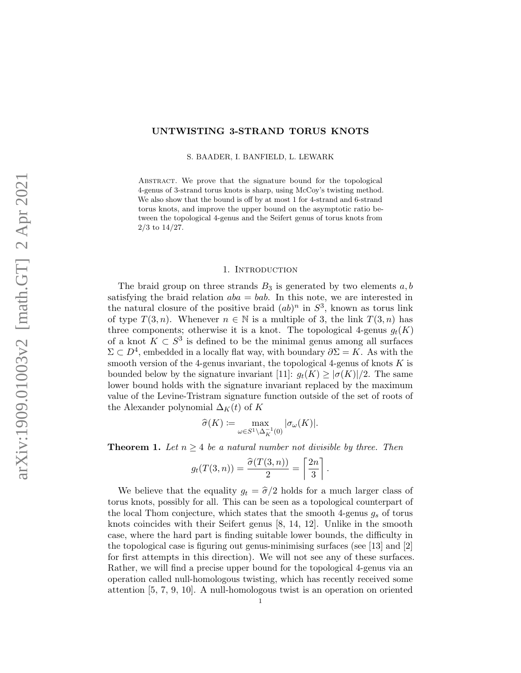# UNTWISTING 3-STRAND TORUS KNOTS

S. BAADER, I. BANFIELD, L. LEWARK

Abstract. We prove that the signature bound for the topological 4-genus of 3-strand torus knots is sharp, using McCoy's twisting method. We also show that the bound is off by at most 1 for 4-strand and 6-strand torus knots, and improve the upper bound on the asymptotic ratio between the topological 4-genus and the Seifert genus of torus knots from 2/3 to 14/27.

### 1. INTRODUCTION

The braid group on three strands  $B_3$  is generated by two elements  $a, b$ satisfying the braid relation  $aba = bab$ . In this note, we are interested in the natural closure of the positive braid  $(ab)^n$  in  $S^3$ , known as torus link of type  $T(3, n)$ . Whenever  $n \in \mathbb{N}$  is a multiple of 3, the link  $T(3, n)$  has three components; otherwise it is a knot. The topological 4-genus  $g_t(K)$ of a knot  $K \subset S^3$  is defined to be the minimal genus among all surfaces  $\Sigma \subset D^4$ , embedded in a locally flat way, with boundary  $\partial \Sigma = K$ . As with the smooth version of the 4-genus invariant, the topological 4-genus of knots  $K$  is bounded below by the signature invariant [\[11\]](#page-8-0):  $g_t(K) \geq |\sigma(K)|/2$ . The same lower bound holds with the signature invariant replaced by the maximum value of the Levine-Tristram signature function outside of the set of roots of the Alexander polynomial  $\Delta_K(t)$  of K

$$
\widehat{\sigma}(K) \coloneqq \max_{\omega \in S^1 \backslash \Delta_K^{-1}(0)} |\sigma_\omega(K)|.
$$

<span id="page-0-0"></span>**Theorem 1.** Let  $n \geq 4$  be a natural number not divisible by three. Then

$$
g_t(T(3,n)) = \frac{\widehat{\sigma}(T(3,n))}{2} = \left\lceil \frac{2n}{3} \right\rceil.
$$

We believe that the equality  $g_t = \hat{\sigma}/2$  holds for a much larger class of torus knots, possibly for all. This can be seen as a topological counterpart of the local Thom conjecture, which states that the smooth 4-genus  $g_s$  of torus knots coincides with their Seifert genus [\[8,](#page-8-1) [14,](#page-8-2) [12\]](#page-8-3). Unlike in the smooth case, where the hard part is finding suitable lower bounds, the difficulty in the topological case is figuring out genus-minimising surfaces (see [\[13\]](#page-8-4) and [\[2\]](#page-8-5) for first attempts in this direction). We will not see any of these surfaces. Rather, we will find a precise upper bound for the topological 4-genus via an operation called null-homologous twisting, which has recently received some attention [\[5,](#page-8-6) [7,](#page-8-7) [9,](#page-8-8) [10\]](#page-8-9). A null-homologous twist is an operation on oriented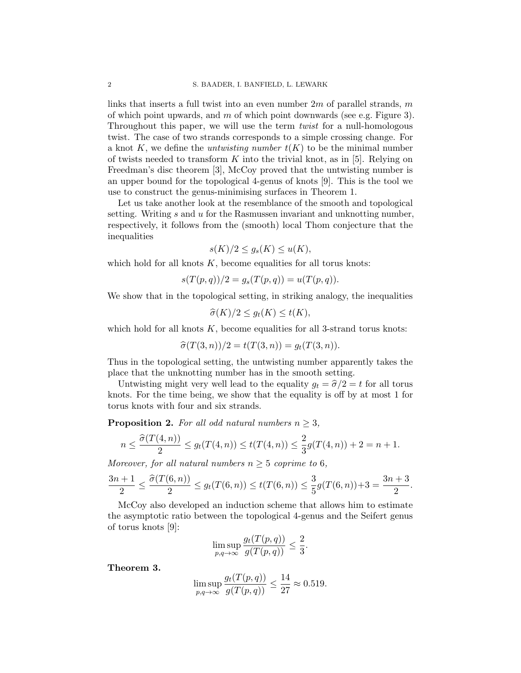links that inserts a full twist into an even number  $2m$  of parallel strands, m of which point upwards, and  $m$  of which point downwards (see e.g. [Figure 3\)](#page-7-0). Throughout this paper, we will use the term *twist* for a null-homologous twist. The case of two strands corresponds to a simple crossing change. For a knot K, we define the *untwisting number*  $t(K)$  to be the minimal number of twists needed to transform  $K$  into the trivial knot, as in [\[5\]](#page-8-6). Relying on Freedman's disc theorem [\[3\]](#page-8-10), McCoy proved that the untwisting number is an upper bound for the topological 4-genus of knots [\[9\]](#page-8-8). This is the tool we use to construct the genus-minimising surfaces in [Theorem 1.](#page-0-0)

Let us take another look at the resemblance of the smooth and topological setting. Writing s and u for the Rasmussen invariant and unknotting number, respectively, it follows from the (smooth) local Thom conjecture that the inequalities

$$
s(K)/2 \le g_s(K) \le u(K),
$$

which hold for all knots  $K$ , become equalities for all torus knots:

$$
s(T(p, q))/2 = g_s(T(p, q)) = u(T(p, q)).
$$

We show that in the topological setting, in striking analogy, the inequalities

$$
\widehat{\sigma}(K)/2 \leq g_t(K) \leq t(K),
$$

which hold for all knots  $K$ , become equalities for all 3-strand torus knots:

$$
\hat{\sigma}(T(3,n))/2 = t(T(3,n)) = g_t(T(3,n)).
$$

Thus in the topological setting, the untwisting number apparently takes the place that the unknotting number has in the smooth setting.

Untwisting might very well lead to the equality  $g_t = \hat{\sigma}/2 = t$  for all torus knots. For the time being, we show that the equality is off by at most 1 for torus knots with four and six strands.

<span id="page-1-0"></span>**Proposition 2.** For all odd natural numbers  $n \geq 3$ ,

$$
n \leq \frac{\widehat{\sigma}(T(4,n))}{2} \leq g_t(T(4,n)) \leq t(T(4,n)) \leq \frac{2}{3}g(T(4,n)) + 2 = n + 1.
$$

Moreover, for all natural numbers  $n \geq 5$  coprime to 6,

$$
\frac{3n+1}{2} \le \frac{\widehat{\sigma}(T(6,n))}{2} \le g_t(T(6,n)) \le t(T(6,n)) \le \frac{3}{5}g(T(6,n)) + 3 = \frac{3n+3}{2}.
$$

McCoy also developed an induction scheme that allows him to estimate the asymptotic ratio between the topological 4-genus and the Seifert genus of torus knots [\[9\]](#page-8-8):

$$
\limsup_{p,q \to \infty} \frac{g_t(T(p,q))}{g(T(p,q))} \le \frac{2}{3}.
$$

<span id="page-1-1"></span>Theorem 3.

$$
\limsup_{p,q \to \infty} \frac{g_t(T(p,q))}{g(T(p,q))} \le \frac{14}{27} \approx 0.519.
$$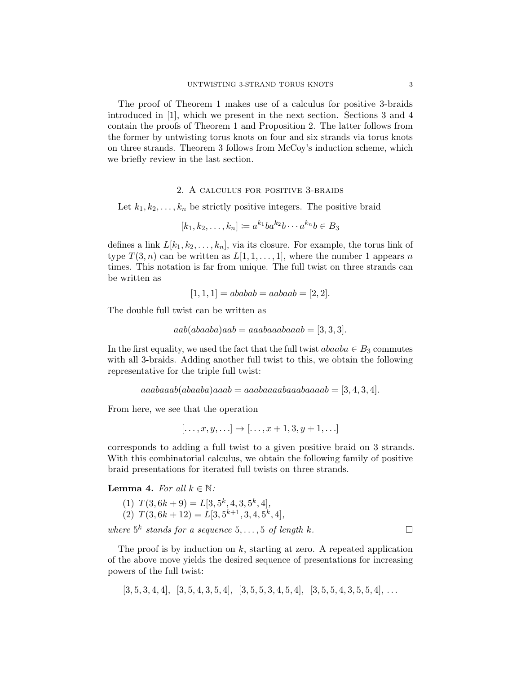The proof of [Theorem 1](#page-0-0) makes use of a calculus for positive 3-braids introduced in [\[1\]](#page-8-11), which we present in the next section. [Sections 3](#page-3-0) and [4](#page-5-0) contain the proofs of [Theorem 1](#page-0-0) and [Proposition 2.](#page-1-0) The latter follows from the former by untwisting torus knots on four and six strands via torus knots on three strands. [Theorem 3](#page-1-1) follows from McCoy's induction scheme, which we briefly review in the last section.

### 2. A calculus for positive 3-braids

Let  $k_1, k_2, \ldots, k_n$  be strictly positive integers. The positive braid

$$
[k_1, k_2, \dots, k_n] := a^{k_1}ba^{k_2}b\cdots a^{k_n}b \in B_3
$$

defines a link  $L[k_1, k_2, \ldots, k_n]$ , via its closure. For example, the torus link of type  $T(3, n)$  can be written as  $L[1, 1, \ldots, 1]$ , where the number 1 appears n times. This notation is far from unique. The full twist on three strands can be written as

$$
[1, 1, 1] = ababab = aabaab = [2, 2].
$$

The double full twist can be written as

$$
aab(abaaba)aab = aaabaaabaaba = [3, 3, 3].
$$

In the first equality, we used the fact that the full twist  $abaaba \in B_3$  commutes with all 3-braids. Adding another full twist to this, we obtain the following representative for the triple full twist:

$$
aaabaaab(abaaba)aaab = aaabaaaabaaaabaaaab = [3, 4, 3, 4].
$$

From here, we see that the operation

$$
[\ldots, x, y, \ldots] \rightarrow [\ldots, x+1, 3, y+1, \ldots]
$$

corresponds to adding a full twist to a given positive braid on 3 strands. With this combinatorial calculus, we obtain the following family of positive braid presentations for iterated full twists on three strands.

<span id="page-2-0"></span>**Lemma 4.** For all  $k \in \mathbb{N}$ :

(1) 
$$
T(3, 6k + 9) = L[3, 5^k, 4, 3, 5^k, 4],
$$
  
(2)  $T(3, 6k + 12) = L[3, 5^{k+1}, 3, 4, 5^k, 4],$ 

where  $5^k$  stands for a sequence  $5, \ldots, 5$  of length k.

The proof is by induction on  $k$ , starting at zero. A repeated application of the above move yields the desired sequence of presentations for increasing powers of the full twist:

$$
[3,5,3,4,4], [3,5,4,3,5,4], [3,5,5,3,4,5,4], [3,5,5,4,3,5,5,4], \ldots
$$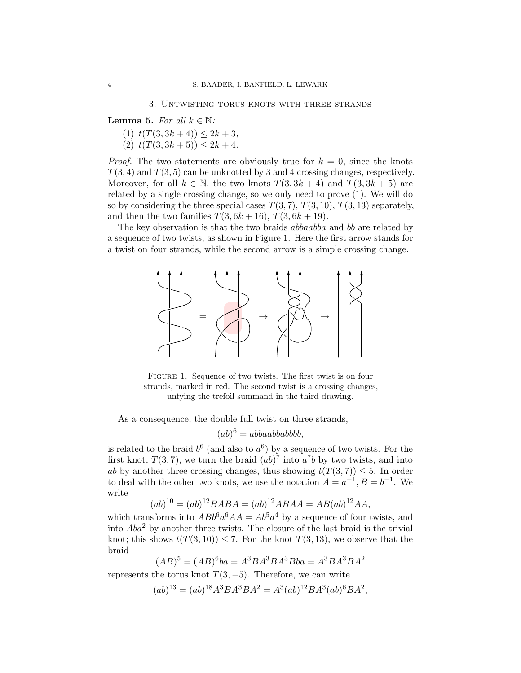<span id="page-3-0"></span>**Lemma 5.** For all  $k \in \mathbb{N}$ :

(1)  $t(T(3, 3k + 4)) \leq 2k + 3$ ,

(2)  $t(T(3, 3k+5)) \leq 2k+4$ .

*Proof.* The two statements are obviously true for  $k = 0$ , since the knots  $T(3, 4)$  and  $T(3, 5)$  can be unknotted by 3 and 4 crossing changes, respectively. Moreover, for all  $k \in \mathbb{N}$ , the two knots  $T(3, 3k + 4)$  and  $T(3, 3k + 5)$  are related by a single crossing change, so we only need to prove (1). We will do so by considering the three special cases  $T(3, 7), T(3, 10), T(3, 13)$  separately, and then the two families  $T(3, 6k + 16)$ ,  $T(3, 6k + 19)$ .

<span id="page-3-1"></span>The key observation is that the two braids *abbaabba* and b are related by a sequence of two twists, as shown in [Figure 1.](#page-3-1) Here the first arrow stands for a twist on four strands, while the second arrow is a simple crossing change.



FIGURE 1. Sequence of two twists. The first twist is on four strands, marked in red. The second twist is a crossing changes, untying the trefoil summand in the third drawing.

As a consequence, the double full twist on three strands,

$$
(ab)^6 = abbaabbabbbb,
$$

is related to the braid  $b^6$  (and also to  $a^6$ ) by a sequence of two twists. For the first knot,  $T(3, 7)$ , we turn the braid  $(ab)^7$  into  $a^7b$  by two twists, and into ab by another three crossing changes, thus showing  $t(T(3, 7)) \leq 5$ . In order to deal with the other two knots, we use the notation  $A = a^{-1}, B = b^{-1}$ . We write

$$
(ab)^{10} = (ab)^{12} BABA = (ab)^{12} ABAA = AB(ab)^{12} AA,
$$

which transforms into  $ABb^6a^6AA = Ab^5a^4$  by a sequence of four twists, and into  $Aba^2$  by another three twists. The closure of the last braid is the trivial knot; this shows  $t(T(3, 10)) \leq 7$ . For the knot  $T(3, 13)$ , we observe that the braid

$$
(AB)^5 = (AB)^6 ba = A^3 B A^3 B A^3 B b a = A^3 B A^3 B A^2
$$
  
represents the torus knot  $T(3, -5)$ . Therefore, we can write

$$
(ab)^{13} = (ab)^{18}A^3BA^3BA^2 = A^3(ab)^{12}BA^3(ab)^6BA^2,
$$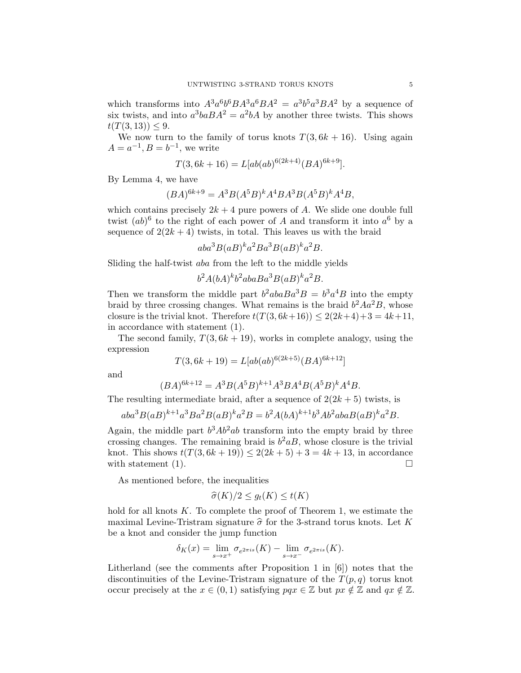which transforms into  $A^3a^6b^6BA^3a^6BA^2 = a^3b^5a^3BA^2$  by a sequence of six twists, and into  $a^3baBA^2 = a^2bA$  by another three twists. This shows  $t(T(3, 13)) \leq 9.$ 

We now turn to the family of torus knots  $T(3, 6k + 16)$ . Using again  $A = a^{-1}, B = b^{-1},$  we write

$$
T(3,6k+16) = L[ab(ab)^{6(2k+4)}(BA)^{6k+9}].
$$

By [Lemma 4,](#page-2-0) we have

$$
(BA)^{6k+9} = A^3B(A^5B)^kA^4BA^3B(A^5B)^kA^4B,
$$

which contains precisely  $2k + 4$  pure powers of A. We slide one double full twist  $(ab)^6$  to the right of each power of A and transform it into  $a^6$  by a sequence of  $2(2k+4)$  twists, in total. This leaves us with the braid

$$
aba^3B(aB)^{k}a^2Ba^3B(aB)^{k}a^2B.
$$

Sliding the half-twist aba from the left to the middle yields

$$
b^2A(bA)^kb^2abaBa^3B(aB)^ka^2B.
$$

Then we transform the middle part  $b^2ab \times B^3B = b^3 a^4B$  into the empty braid by three crossing changes. What remains is the braid  $b^2 A a^2 B$ , whose closure is the trivial knot. Therefore  $t(T(3, 6k+16)) < 2(2k+4)+3 = 4k+11$ , in accordance with statement (1).

The second family,  $T(3, 6k + 19)$ , works in complete analogy, using the expression

$$
T(3,6k+19) = L[ab(ab)^{6(2k+5)}(BA)^{6k+12}]
$$

and

$$
(BA)^{6k+12} = A^3B(A^5B)^{k+1}A^3BA^4B(A^5B)^{k}A^4B.
$$

The resulting intermediate braid, after a sequence of  $2(2k+5)$  twists, is

$$
aba^{3}B(aB)^{k+1}a^{3}Ba^{2}B(aB)^{k}a^{2}B = b^{2}A(bA)^{k+1}b^{3}Ab^{2}abaB(aB)^{k}a^{2}B.
$$

Again, the middle part  $b^3Ab^2ab$  transform into the empty braid by three crossing changes. The remaining braid is  $b^2aB$ , whose closure is the trivial knot. This shows  $t(T(3, 6k+19)) \leq 2(2k+5) + 3 = 4k+13$ , in accordance with statement (1).  $\Box$ 

As mentioned before, the inequalities

$$
\widehat{\sigma}(K)/2 \le g_t(K) \le t(K)
$$

hold for all knots  $K$ . To complete the proof of [Theorem 1,](#page-0-0) we estimate the maximal Levine-Tristram signature  $\hat{\sigma}$  for the 3-strand torus knots. Let K be a knot and consider the jump function

$$
\delta_K(x) = \lim_{s \to x^+} \sigma_{e^{2\pi is}}(K) - \lim_{s \to x^-} \sigma_{e^{2\pi is}}(K).
$$

Litherland (see the comments after Proposition 1 in [\[6\]](#page-8-12)) notes that the discontinuities of the Levine-Tristram signature of the  $T(p,q)$  torus knot occur precisely at the  $x \in (0, 1)$  satisfying  $pgx \in \mathbb{Z}$  but  $px \notin \mathbb{Z}$  and  $qx \notin \mathbb{Z}$ .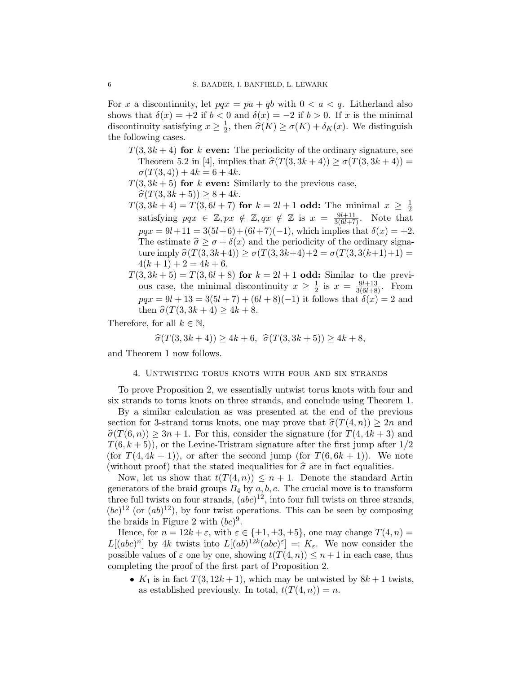For x a discontinuity, let  $pqx = pa + qb$  with  $0 < a < q$ . Litherland also shows that  $\delta(x) = +2$  if  $b < 0$  and  $\delta(x) = -2$  if  $b > 0$ . If x is the minimal discontinuity satisfying  $x \geq \frac{1}{2}$  $\frac{1}{2}$ , then  $\widehat{\sigma}(K) \ge \sigma(K) + \delta_K(x)$ . We distinguish the following cases.

- $T(3, 3k + 4)$  for k even: The periodicity of the ordinary signature, see Theorem 5.2 in [\[4\]](#page-8-13), implies that  $\hat{\sigma}(T(3, 3k + 4)) \geq \sigma(T(3, 3k + 4)) =$  $\sigma(T(3,4)) + 4k = 6 + 4k.$
- $T(3, 3k + 5)$  for k even: Similarly to the previous case,

$$
\hat{\sigma}(T(3, 3k+5)) \ge 8 + 4k.
$$

- $\hat{\sigma}(T(3, 3k + 5)) \ge 8 + 4k.$ <br>  $T(3, 3k + 4) = T(3, 6l + 7)$  for  $k = 2l + 1$  odd: The minimal  $x \ge \frac{1}{2}$  $3, 3k+4j-1 \ (3, 6l+7)$  for  $k = 2l+1$  odd. The infinition  $x \geq \frac{1}{2}$ <br>satisfying  $pqx \in \mathbb{Z}, px \notin \mathbb{Z}, qx \notin \mathbb{Z}$  is  $x = \frac{9l+11}{3(6l+7)}$ . Note that  $pqx = 9l+11 = 3(5l+6) + (6l+7)(-1)$ , which implies that  $\delta(x) = +2$ . The estimate  $\hat{\sigma} \geq \sigma + \delta(x)$  and the periodicity of the ordinary signature imply  $\hat{\sigma}(T(3, 3k+4)) \geq \sigma(T(3, 3k+4)+2 = \sigma(T(3, 3(k+1)+1)) =$  $4(k+1)+2=4k+6.$
- $T(3, 3k + 5) = T(3, 6l + 8)$  for  $k = 2l + 1$  odd: Similar to the previous case, the minimal discontinuity  $x \geq \frac{1}{2}$  $\frac{1}{2}$  is  $x = \frac{9l+13}{3(6l+8)}$ . From  $pqx = 9l + 13 = 3(5l + 7) + (6l + 8)(-1)$  it follows that  $\delta(x) = 2$  and then  $\hat{\sigma}(T(3, 3k + 4) > 4k + 8$ .

Therefore, for all  $k \in \mathbb{N}$ ,

$$
\hat{\sigma}(T(3, 3k+4)) \ge 4k+6, \ \ \hat{\sigma}(T(3, 3k+5)) \ge 4k+8,
$$

<span id="page-5-0"></span>and [Theorem 1](#page-0-0) now follows.

## 4. Untwisting torus knots with four and six strands

To prove [Proposition 2,](#page-1-0) we essentially untwist torus knots with four and six strands to torus knots on three strands, and conclude using [Theorem 1.](#page-0-0)

By a similar calculation as was presented at the end of the previous section for 3-strand torus knots, one may prove that  $\hat{\sigma}(T(4, n)) \geq 2n$  and  $\hat{\sigma}(T(6, n)) \geq 3n + 1$ . For this, consider the signature (for  $T(4, 4k + 3)$ ) and  $T(6, k+5)$ , or the Levine-Tristram signature after the first jump after  $1/2$ (for  $T(4, 4k + 1)$ ), or after the second jump (for  $T(6, 6k + 1)$ ). We note (without proof) that the stated inequalities for  $\hat{\sigma}$  are in fact equalities.

Now, let us show that  $t(T(4, n)) \leq n+1$ . Denote the standard Artin generators of the braid groups  $B_4$  by  $a, b, c$ . The crucial move is to transform three full twists on four strands,  $(abc)^{12}$ , into four full twists on three strands,  $(bc)^{12}$  (or  $(ab)^{12}$ ), by four twist operations. This can be seen by composing the braids in [Figure 2](#page-6-0) with  $(bc)^9$ .

Hence, for  $n = 12k + \varepsilon$ , with  $\varepsilon \in {\pm 1, \pm 3, \pm 5}$ , one may change  $T(4, n) =$  $L[(abc)^n]$  by 4k twists into  $L[(ab)^{12k}(abc)^{\epsilon}] =: K_{\epsilon}$ . We now consider the possible values of  $\varepsilon$  one by one, showing  $t(T(4, n)) \leq n+1$  in each case, thus completing the proof of the first part of [Proposition 2.](#page-1-0)

•  $K_1$  is in fact  $T(3, 12k + 1)$ , which may be untwisted by  $8k + 1$  twists, as established previously. In total,  $t(T(4, n)) = n$ .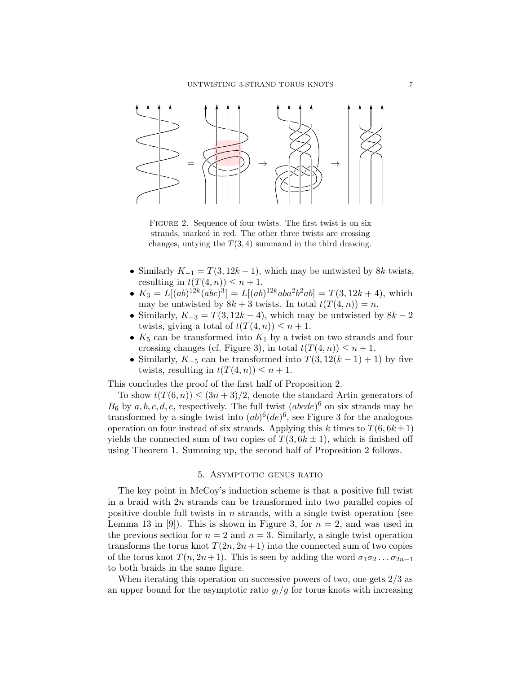<span id="page-6-0"></span>

FIGURE 2. Sequence of four twists. The first twist is on six strands, marked in red. The other three twists are crossing changes, untying the  $T(3, 4)$  summand in the third drawing.

- Similarly  $K_{-1} = T(3, 12k 1)$ , which may be untwisted by 8k twists, resulting in  $t(T(4, n)) \leq n + 1$ .
- $K_3 = L[(ab)^{12k}(abc)^3] = L[(ab)^{12k}aba^2b^2ab] = T(3, 12k + 4)$ , which may be untwisted by  $8k + 3$  twists. In total  $t(T(4, n)) = n$ .
- Similarly,  $K_{-3} = T(3, 12k 4)$ , which may be untwisted by  $8k 2$ twists, giving a total of  $t(T(4, n)) \leq n + 1$ .
- $K_5$  can be transformed into  $K_1$  by a twist on two strands and four crossing changes (cf. [Figure 3\)](#page-7-0), in total  $t(T(4, n)) \leq n+1$ .
- Similarly,  $K_{-5}$  can be transformed into  $T(3, 12(k-1)+1)$  by five twists, resulting in  $t(T(4, n)) \leq n + 1$ .

This concludes the proof of the first half of [Proposition 2.](#page-1-0)

To show  $t(T(6, n)) \leq (3n + 3)/2$ , denote the standard Artin generators of  $B_6$  by  $a, b, c, d, e$ , respectively. The full twist  $(abcde)^6$  on six strands may be transformed by a single twist into  $(ab)^{6}(de)^{6}$ , see [Figure 3](#page-7-0) for the analogous operation on four instead of six strands. Applying this k times to  $T(6, 6k \pm 1)$ yields the connected sum of two copies of  $T(3, 6k \pm 1)$ , which is finished off using [Theorem 1.](#page-0-0) Summing up, the second half of [Proposition 2](#page-1-0) follows.

## 5. ASYMPTOTIC GENUS RATIO

The key point in McCoy's induction scheme is that a positive full twist in a braid with 2n strands can be transformed into two parallel copies of positive double full twists in  $n$  strands, with a single twist operation (see Lemma 13 in [\[9\]](#page-8-8)). This is shown in [Figure 3,](#page-7-0) for  $n = 2$ , and was used in the previous section for  $n = 2$  and  $n = 3$ . Similarly, a single twist operation transforms the torus knot  $T(2n, 2n+1)$  into the connected sum of two copies of the torus knot  $T(n, 2n+1)$ . This is seen by adding the word  $\sigma_1 \sigma_2 \ldots \sigma_{2n-1}$ to both braids in the same figure.

When iterating this operation on successive powers of two, one gets  $2/3$  as an upper bound for the asymptotic ratio  $g_t/g$  for torus knots with increasing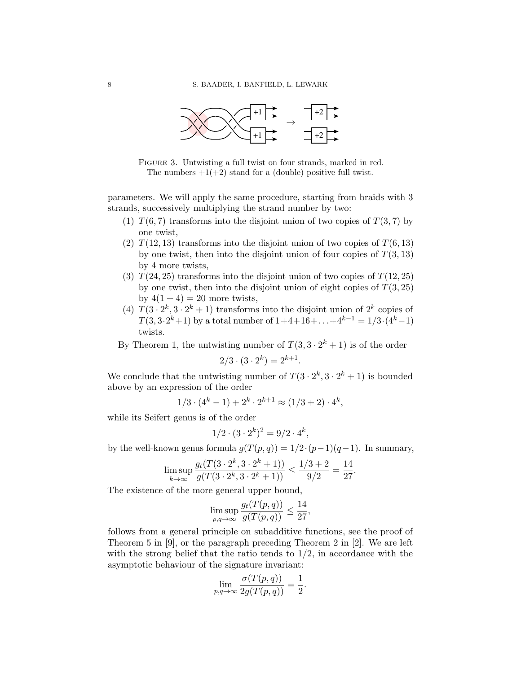<span id="page-7-0"></span>

FIGURE 3. Untwisting a full twist on four strands, marked in red. The numbers  $+1(+2)$  stand for a (double) positive full twist.

parameters. We will apply the same procedure, starting from braids with 3 strands, successively multiplying the strand number by two:

- (1)  $T(6, 7)$  transforms into the disjoint union of two copies of  $T(3, 7)$  by one twist,
- (2)  $T(12, 13)$  transforms into the disjoint union of two copies of  $T(6, 13)$ by one twist, then into the disjoint union of four copies of  $T(3, 13)$ by 4 more twists,
- (3)  $T(24, 25)$  transforms into the disjoint union of two copies of  $T(12, 25)$ by one twist, then into the disjoint union of eight copies of  $T(3, 25)$ by  $4(1+4) = 20$  more twists,
- (4)  $T(3 \cdot 2^k, 3 \cdot 2^k + 1)$  transforms into the disjoint union of  $2^k$  copies of  $T(3, 3 \cdot 2^k + 1)$  by a total number of  $1+4+16+\ldots+4^{k-1} = 1/3 \cdot (4^k-1)$ twists.

By [Theorem 1,](#page-0-0) the untwisting number of  $T(3, 3 \cdot 2^{k} + 1)$  is of the order

$$
2/3 \cdot (3 \cdot 2^k) = 2^{k+1}.
$$

We conclude that the untwisting number of  $T(3 \cdot 2^k, 3 \cdot 2^k + 1)$  is bounded above by an expression of the order

$$
1/3 \cdot (4^k - 1) + 2^k \cdot 2^{k+1} \approx (1/3 + 2) \cdot 4^k,
$$

while its Seifert genus is of the order

$$
1/2 \cdot (3 \cdot 2^k)^2 = 9/2 \cdot 4^k,
$$

by the well-known genus formula  $g(T(p, q)) = 1/2 \cdot (p-1)(q-1)$ . In summary,

$$
\limsup_{k \to \infty} \frac{g_t(T(3 \cdot 2^k, 3 \cdot 2^k + 1))}{g(T(3 \cdot 2^k, 3 \cdot 2^k + 1))} \le \frac{1/3 + 2}{9/2} = \frac{14}{27}
$$

.

The existence of the more general upper bound,

$$
\limsup_{p,q \to \infty} \frac{g_t(T(p,q))}{g(T(p,q))} \le \frac{14}{27},
$$

follows from a general principle on subadditive functions, see the proof of Theorem 5 in [\[9\]](#page-8-8), or the paragraph preceding Theorem 2 in [\[2\]](#page-8-5). We are left with the strong belief that the ratio tends to  $1/2$ , in accordance with the asymptotic behaviour of the signature invariant:

$$
\lim_{p,q \to \infty} \frac{\sigma(T(p,q))}{2g(T(p,q))} = \frac{1}{2}.
$$